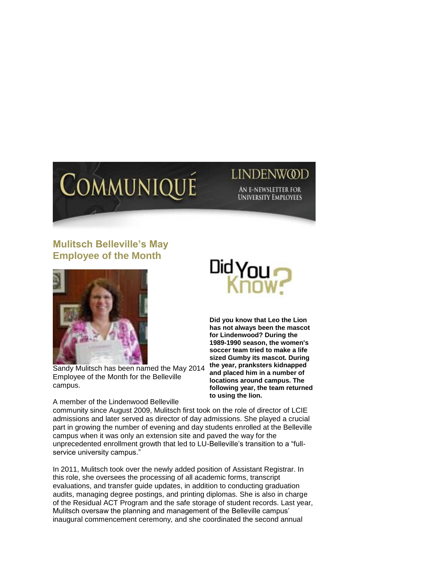

## **July 14, 2014** LINDENWQ

**AN E-NEWSLETTER FOR UNIVERSITY EMPLOYEES** 

## **Mulitsch Belleville's May Employee of the Month**



Sandy Mulitsch has been named the May 2014 Employee of the Month for the Belleville campus.

A member of the Lindenwood Belleville



**Did you know that Leo the Lion has not always been the mascot for Lindenwood? During the 1989-1990 season, the women's soccer team tried to make a life sized Gumby its mascot. During the year, pranksters kidnapped and placed him in a number of locations around campus. The following year, the team returned to using the lion.** 

community since August 2009, Mulitsch first took on the role of director of LCIE admissions and later served as director of day admissions. She played a crucial part in growing the number of evening and day students enrolled at the Belleville campus when it was only an extension site and paved the way for the unprecedented enrollment growth that led to LU-Belleville's transition to a "fullservice university campus."

In 2011, Mulitsch took over the newly added position of Assistant Registrar. In this role, she oversees the processing of all academic forms, transcript evaluations, and transfer guide updates, in addition to conducting graduation audits, managing degree postings, and printing diplomas. She is also in charge of the Residual ACT Program and the safe storage of student records. Last year, Mulitsch oversaw the planning and management of the Belleville campus' inaugural commencement ceremony, and she coordinated the second annual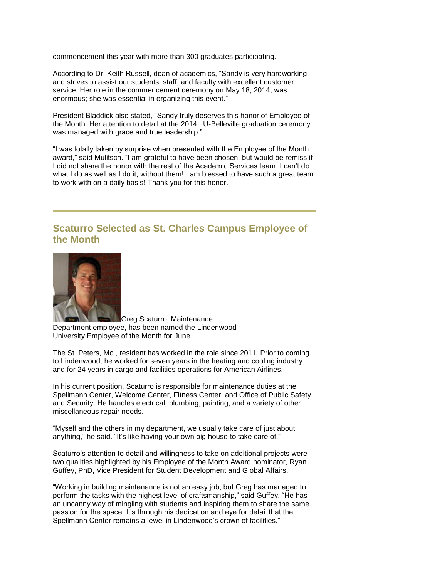commencement this year with more than 300 graduates participating.

According to Dr. Keith Russell, dean of academics, "Sandy is very hardworking and strives to assist our students, staff, and faculty with excellent customer service. Her role in the commencement ceremony on May 18, 2014, was enormous; she was essential in organizing this event."

President Bladdick also stated, "Sandy truly deserves this honor of Employee of the Month. Her attention to detail at the 2014 LU-Belleville graduation ceremony was managed with grace and true leadership."

"I was totally taken by surprise when presented with the Employee of the Month award," said Mulitsch. "I am grateful to have been chosen, but would be remiss if I did not share the honor with the rest of the Academic Services team. I can't do what I do as well as I do it, without them! I am blessed to have such a great team to work with on a daily basis! Thank you for this honor."

## **Scaturro Selected as St. Charles Campus Employee of the Month**



Greg Scaturro, Maintenance Department employee, has been named the Lindenwood University Employee of the Month for June.

The St. Peters, Mo., resident has worked in the role since 2011. Prior to coming to Lindenwood, he worked for seven years in the heating and cooling industry and for 24 years in cargo and facilities operations for American Airlines.

In his current position, Scaturro is responsible for maintenance duties at the Spellmann Center, Welcome Center, Fitness Center, and Office of Public Safety and Security. He handles electrical, plumbing, painting, and a variety of other miscellaneous repair needs.

"Myself and the others in my department, we usually take care of just about anything," he said. "It's like having your own big house to take care of."

Scaturro's attention to detail and willingness to take on additional projects were two qualities highlighted by his Employee of the Month Award nominator, Ryan Guffey, PhD, Vice President for Student Development and Global Affairs.

"Working in building maintenance is not an easy job, but Greg has managed to perform the tasks with the highest level of craftsmanship," said Guffey. "He has an uncanny way of mingling with students and inspiring them to share the same passion for the space. It's through his dedication and eye for detail that the Spellmann Center remains a jewel in Lindenwood's crown of facilities."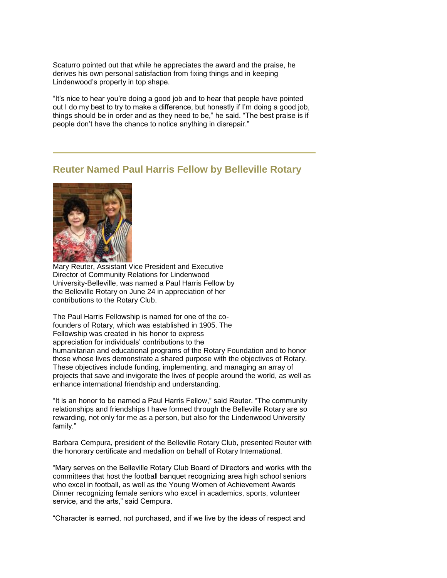Scaturro pointed out that while he appreciates the award and the praise, he derives his own personal satisfaction from fixing things and in keeping Lindenwood's property in top shape.

"It's nice to hear you're doing a good job and to hear that people have pointed out I do my best to try to make a difference, but honestly if I'm doing a good job, things should be in order and as they need to be," he said. "The best praise is if people don't have the chance to notice anything in disrepair."

## **Reuter Named Paul Harris Fellow by Belleville Rotary**



Mary Reuter, Assistant Vice President and Executive Director of Community Relations for Lindenwood University-Belleville, was named a Paul Harris Fellow by the Belleville Rotary on June 24 in appreciation of her contributions to the Rotary Club.

The Paul Harris Fellowship is named for one of the cofounders of Rotary, which was established in 1905. The Fellowship was created in his honor to express appreciation for individuals' contributions to the humanitarian and educational programs of the Rotary Foundation and to honor those whose lives demonstrate a shared purpose with the objectives of Rotary. These objectives include funding, implementing, and managing an array of projects that save and invigorate the lives of people around the world, as well as enhance international friendship and understanding.

"It is an honor to be named a Paul Harris Fellow," said Reuter. "The community relationships and friendships I have formed through the Belleville Rotary are so rewarding, not only for me as a person, but also for the Lindenwood University family."

Barbara Cempura, president of the Belleville Rotary Club, presented Reuter with the honorary certificate and medallion on behalf of Rotary International.

"Mary serves on the Belleville Rotary Club Board of Directors and works with the committees that host the football banquet recognizing area high school seniors who excel in football, as well as the Young Women of Achievement Awards Dinner recognizing female seniors who excel in academics, sports, volunteer service, and the arts," said Cempura.

"Character is earned, not purchased, and if we live by the ideas of respect and